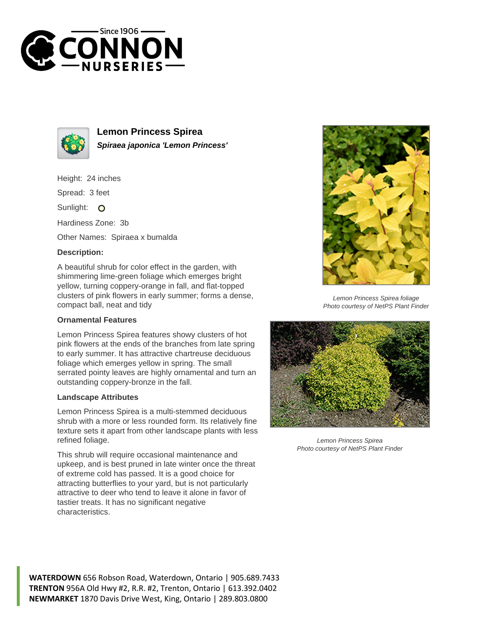



**Lemon Princess Spirea Spiraea japonica 'Lemon Princess'**

Height: 24 inches

Spread: 3 feet

Sunlight: O

Hardiness Zone: 3b

Other Names: Spiraea x bumalda

## **Description:**

A beautiful shrub for color effect in the garden, with shimmering lime-green foliage which emerges bright yellow, turning coppery-orange in fall, and flat-topped clusters of pink flowers in early summer; forms a dense, compact ball, neat and tidy

## **Ornamental Features**

Lemon Princess Spirea features showy clusters of hot pink flowers at the ends of the branches from late spring to early summer. It has attractive chartreuse deciduous foliage which emerges yellow in spring. The small serrated pointy leaves are highly ornamental and turn an outstanding coppery-bronze in the fall.

## **Landscape Attributes**

Lemon Princess Spirea is a multi-stemmed deciduous shrub with a more or less rounded form. Its relatively fine texture sets it apart from other landscape plants with less refined foliage.

This shrub will require occasional maintenance and upkeep, and is best pruned in late winter once the threat of extreme cold has passed. It is a good choice for attracting butterflies to your yard, but is not particularly attractive to deer who tend to leave it alone in favor of tastier treats. It has no significant negative characteristics.



Lemon Princess Spirea foliage Photo courtesy of NetPS Plant Finder



Lemon Princess Spirea Photo courtesy of NetPS Plant Finder

**WATERDOWN** 656 Robson Road, Waterdown, Ontario | 905.689.7433 **TRENTON** 956A Old Hwy #2, R.R. #2, Trenton, Ontario | 613.392.0402 **NEWMARKET** 1870 Davis Drive West, King, Ontario | 289.803.0800